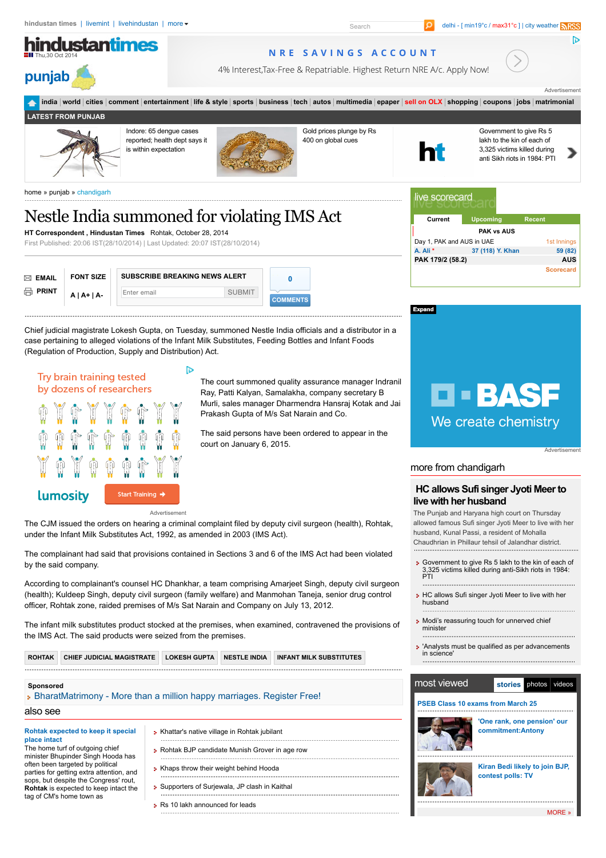

#### Start Training → lumosity

Advertisement

The CJM issued the orders on hearing a criminal complaint filed by deputy civil surgeon (health), Rohtak, under the Infant Milk Substitutes Act, 1992, as amended in 2003 (IMS Act).

The complainant had said that provisions contained in Sections 3 and 6 of the IMS Act had been violated by the said company.

According to complainant's counsel HC Dhankhar, a team comprising Amarjeet Singh, deputy civil surgeon (health); Kuldeep Singh, deputy civil surgeon (family welfare) and Manmohan Taneja, senior drug control officer, Rohtak zone, raided premises of M/s Sat Narain and Company on July 13, 2012.

The infant milk substitutes product stocked at the premises, when examined, contravened the provisions of the IMS Act. The said products were seized from the premises.

**[ROHTAK](http://www.hindustantimes.com/Search/search.aspx?q=Rohtak) [CHIEF JUDICIAL MAGISTRATE](http://www.hindustantimes.com/Search/search.aspx?q=Chief%20judicial%20magistrate) [LOKESH GUPTA](http://www.hindustantimes.com/Search/search.aspx?q=Lokesh%20Gupta) [NESTLE INDIA](http://www.hindustantimes.com/Search/search.aspx?q=Nestle%20India) [INFANT MILK SUBSTITUTES](http://www.hindustantimes.com/Search/search.aspx?q=Infant%20Milk%20Substitutes)**

### **Sponsored**

| » BharatMatrimony - More than a million happy marriages. Register Free! |                                               |  |  |
|-------------------------------------------------------------------------|-----------------------------------------------|--|--|
| also see                                                                |                                               |  |  |
| Rohtak expected to keep it special                                      | > Khattar's native village in Rohtak jubilant |  |  |

**place intact** The home turf of outgoing chief minister Bhupinder Singh Hooda has often been targeted by political parties for getting extra attention, and sops, but despite the Congress' rout, **Rohtak** is expected to keep intact the tag of CM's home town as

| • Khattar's native village in Rohtak jubilant   |  |
|-------------------------------------------------|--|
| > Rohtak BJP candidate Munish Grover in age row |  |
|                                                 |  |

- **[Khaps throw their weight behind Hooda](http://www.hindustantimes.com/punjab/chandigarh/khaps-throw-their-weight-behind-hooda/article1-1280470.aspx?hts0021)**
- [Supporters of Surjewala, JP clash in Kaithal](http://www.hindustantimes.com/punjab/chandigarh/supporters-of-surjewala-jp-clash-in-kaithal/article1-1277171.aspx?hts0021)
- **Rs** 10 lakh announced for leads

# **[HC allows Sufi singer Jyoti Meer to](http://www.hindustantimes.com/punjab/chandigarh/-hc-allows-sufi-singer-jyoti-meer-to-live-with-her-husband/article1-1280578.aspx?hts0021)**

## **live with her husband**

The Punjab and Haryana high court on Thursday allowed famous Sufi singer Jyoti Meer to live with her husband, Kunal Passi, a resident of Mohalla Chaudhrian in Phillaur tehsil of Jalandhar district.

- **[Government to give Rs 5 lakh to the kin of each of](http://www.hindustantimes.com/punjab/chandigarh/government-to-give-rs-5-lakh-to-the-kin-of-each-of-3-325-victims-killed-during-anti-sikh-riots-in-1984-pti/article1-1280573.aspx?hts0021)** 3,325 victims killed during anti-Sikh riots in 1984: PTI
- [HC allows Sufi singer Jyoti Meer to live with her](http://www.hindustantimes.com/punjab/chandigarh/hc-allows-sufi-singer-jyoti-meer-to-live-with-her-husband/article1-1280566.aspx?hts0021) husband
- **[Modi's reassuring touch for unnerved chief](http://www.hindustantimes.com/punjab/chandigarh/modi-s-reassuring-touch-for-unnerved-chief-minister/article1-1280509.aspx?hts0021)** minister
- ['Analysts must be qualified as per advancements](http://www.hindustantimes.com/punjab/chandigarh/analysts-must-be-qualified-as-per-advancements-in-science-hc/article1-1280499.aspx?hts0021) in science'

#### stories photos videos most viewed **[PSEB Class 10 exams from March 25](http://www.hindustantimes.com/punjab/chandigarh/pseb-changes-class-10-datesheet-exams-march-25-onwards/article1-1188766.aspx?hts0021) ['One rank, one pension' our](http://www.hindustantimes.com/punjab/chandigarh/one-rank-one-pension-our-commitment-antony/article1-1189038.aspx?hts0021)**



**commitment:Antony**

**[Kiran Bedi likely to join BJP,](http://www.hindustantimes.com/punjab/chandigarh/kiran-bedi-likely-to-join-bjp-contest-polls-tv/article1-1189897.aspx?hts0021) contest polls: TV**

[MORE](http://www.hindustantimes.com/mostview/chunk-ht-ui-mostviewedstories/mostviewedstories-lp-lid.aspx) »